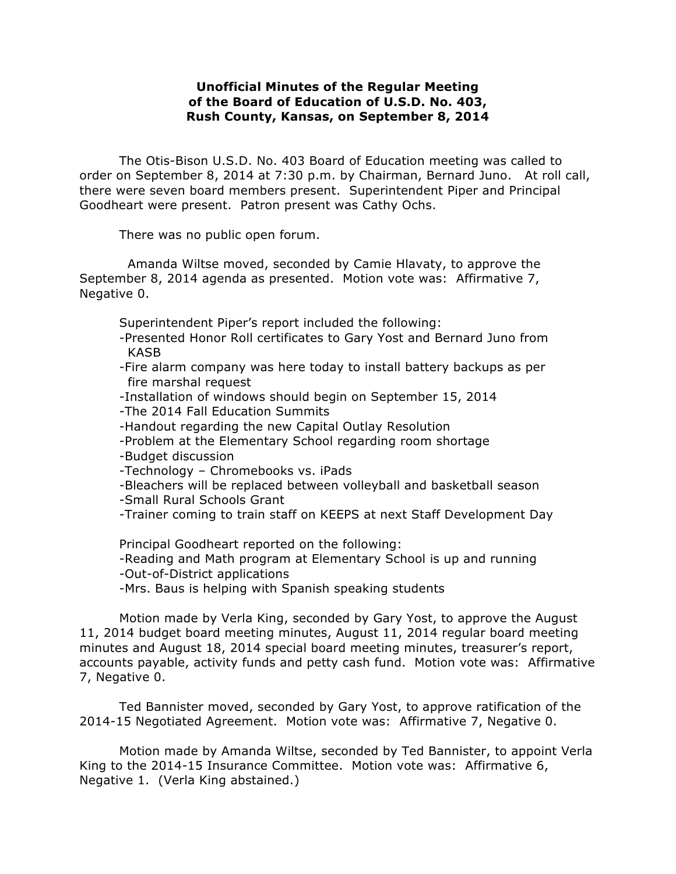## **Unofficial Minutes of the Regular Meeting of the Board of Education of U.S.D. No. 403, Rush County, Kansas, on September 8, 2014**

The Otis-Bison U.S.D. No. 403 Board of Education meeting was called to order on September 8, 2014 at 7:30 p.m. by Chairman, Bernard Juno. At roll call, there were seven board members present. Superintendent Piper and Principal Goodheart were present. Patron present was Cathy Ochs.

There was no public open forum.

Amanda Wiltse moved, seconded by Camie Hlavaty, to approve the September 8, 2014 agenda as presented. Motion vote was: Affirmative 7, Negative 0.

Superintendent Piper's report included the following:

- -Presented Honor Roll certificates to Gary Yost and Bernard Juno from KASB
- -Fire alarm company was here today to install battery backups as per fire marshal request
- -Installation of windows should begin on September 15, 2014
- -The 2014 Fall Education Summits
- -Handout regarding the new Capital Outlay Resolution
- -Problem at the Elementary School regarding room shortage
- -Budget discussion
- -Technology Chromebooks vs. iPads
- -Bleachers will be replaced between volleyball and basketball season
- -Small Rural Schools Grant
- -Trainer coming to train staff on KEEPS at next Staff Development Day

Principal Goodheart reported on the following: -Reading and Math program at Elementary School is up and running

-Out-of-District applications

-Mrs. Baus is helping with Spanish speaking students

Motion made by Verla King, seconded by Gary Yost, to approve the August 11, 2014 budget board meeting minutes, August 11, 2014 regular board meeting minutes and August 18, 2014 special board meeting minutes, treasurer's report, accounts payable, activity funds and petty cash fund. Motion vote was: Affirmative 7, Negative 0.

Ted Bannister moved, seconded by Gary Yost, to approve ratification of the 2014-15 Negotiated Agreement. Motion vote was: Affirmative 7, Negative 0.

Motion made by Amanda Wiltse, seconded by Ted Bannister, to appoint Verla King to the 2014-15 Insurance Committee. Motion vote was: Affirmative 6, Negative 1. (Verla King abstained.)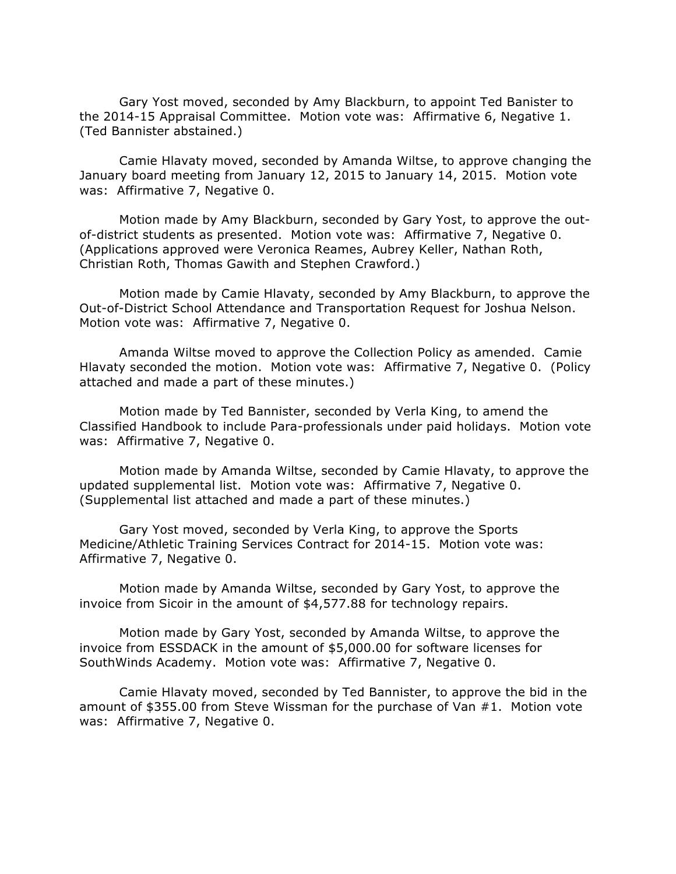Gary Yost moved, seconded by Amy Blackburn, to appoint Ted Banister to the 2014-15 Appraisal Committee. Motion vote was: Affirmative 6, Negative 1. (Ted Bannister abstained.)

Camie Hlavaty moved, seconded by Amanda Wiltse, to approve changing the January board meeting from January 12, 2015 to January 14, 2015. Motion vote was: Affirmative 7, Negative 0.

Motion made by Amy Blackburn, seconded by Gary Yost, to approve the outof-district students as presented. Motion vote was: Affirmative 7, Negative 0. (Applications approved were Veronica Reames, Aubrey Keller, Nathan Roth, Christian Roth, Thomas Gawith and Stephen Crawford.)

Motion made by Camie Hlavaty, seconded by Amy Blackburn, to approve the Out-of-District School Attendance and Transportation Request for Joshua Nelson. Motion vote was: Affirmative 7, Negative 0.

Amanda Wiltse moved to approve the Collection Policy as amended. Camie Hlavaty seconded the motion. Motion vote was: Affirmative 7, Negative 0. (Policy attached and made a part of these minutes.)

Motion made by Ted Bannister, seconded by Verla King, to amend the Classified Handbook to include Para-professionals under paid holidays. Motion vote was: Affirmative 7, Negative 0.

Motion made by Amanda Wiltse, seconded by Camie Hlavaty, to approve the updated supplemental list. Motion vote was: Affirmative 7, Negative 0. (Supplemental list attached and made a part of these minutes.)

Gary Yost moved, seconded by Verla King, to approve the Sports Medicine/Athletic Training Services Contract for 2014-15. Motion vote was: Affirmative 7, Negative 0.

Motion made by Amanda Wiltse, seconded by Gary Yost, to approve the invoice from Sicoir in the amount of \$4,577.88 for technology repairs.

Motion made by Gary Yost, seconded by Amanda Wiltse, to approve the invoice from ESSDACK in the amount of \$5,000.00 for software licenses for SouthWinds Academy. Motion vote was: Affirmative 7, Negative 0.

Camie Hlavaty moved, seconded by Ted Bannister, to approve the bid in the amount of \$355.00 from Steve Wissman for the purchase of Van #1. Motion vote was: Affirmative 7, Negative 0.